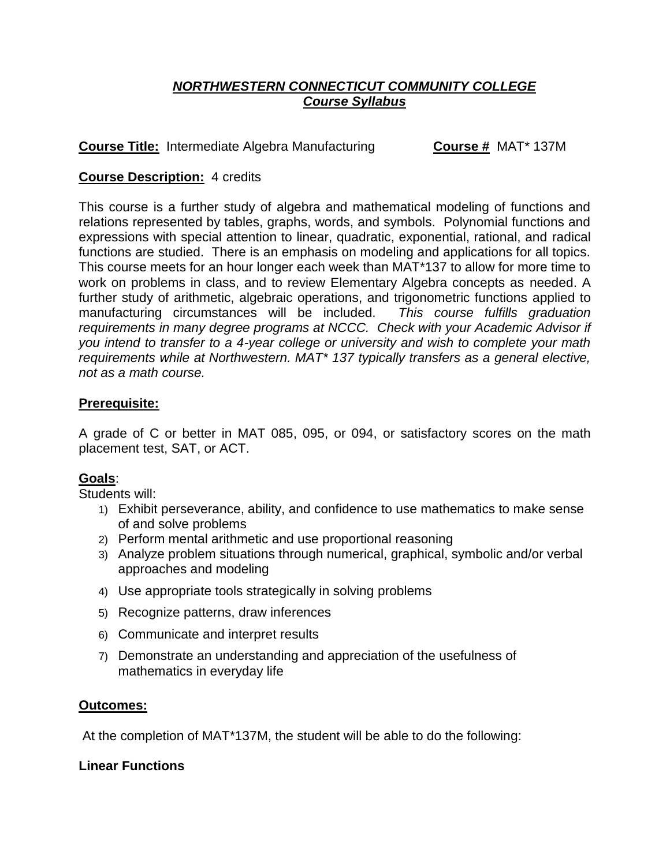#### *NORTHWESTERN CONNECTICUT COMMUNITY COLLEGE Course Syllabus*

# **Course Title:** Intermediate Algebra Manufacturing **Course # MAT**\* 137M

#### **Course Description:** 4 credits

This course is a further study of algebra and mathematical modeling of functions and relations represented by tables, graphs, words, and symbols. Polynomial functions and expressions with special attention to linear, quadratic, exponential, rational, and radical functions are studied. There is an emphasis on modeling and applications for all topics. This course meets for an hour longer each week than MAT\*137 to allow for more time to work on problems in class, and to review Elementary Algebra concepts as needed. A further study of arithmetic, algebraic operations, and trigonometric functions applied to manufacturing circumstances will be included. *This course fulfills graduation requirements in many degree programs at NCCC. Check with your Academic Advisor if you intend to transfer to a 4-year college or university and wish to complete your math requirements while at Northwestern. MAT\* 137 typically transfers as a general elective, not as a math course.*

#### **Prerequisite:**

A grade of C or better in MAT 085, 095, or 094, or satisfactory scores on the math placement test, SAT, or ACT.

#### **Goals**:

Students will:

- 1) Exhibit perseverance, ability, and confidence to use mathematics to make sense of and solve problems
- 2) Perform mental arithmetic and use proportional reasoning
- 3) Analyze problem situations through numerical, graphical, symbolic and/or verbal approaches and modeling
- 4) Use appropriate tools strategically in solving problems
- 5) Recognize patterns, draw inferences
- 6) Communicate and interpret results
- 7) Demonstrate an understanding and appreciation of the usefulness of mathematics in everyday life

#### **Outcomes:**

At the completion of MAT\*137M, the student will be able to do the following:

#### **Linear Functions**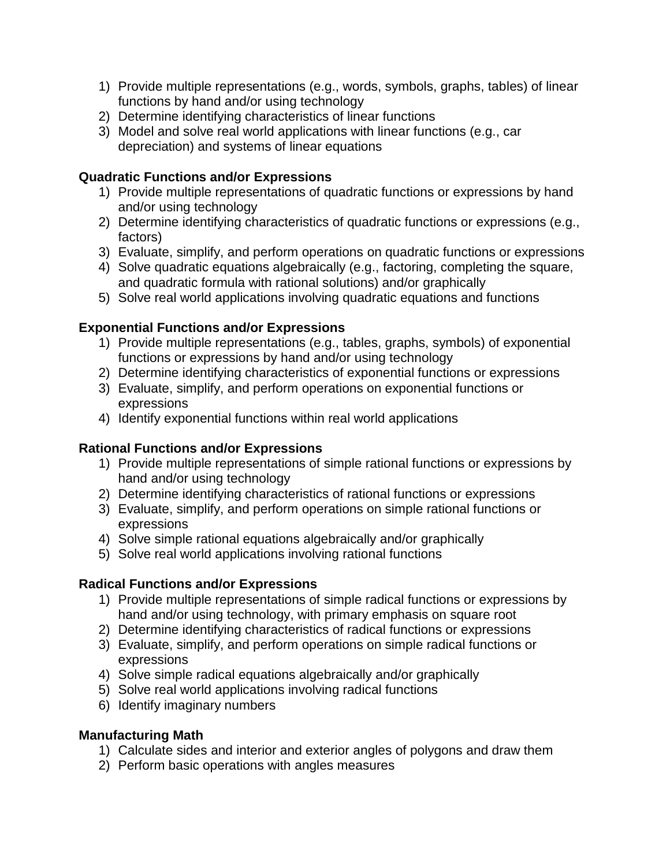- 1) Provide multiple representations (e.g., words, symbols, graphs, tables) of linear functions by hand and/or using technology
- 2) Determine identifying characteristics of linear functions
- 3) Model and solve real world applications with linear functions (e.g., car depreciation) and systems of linear equations

## **Quadratic Functions and/or Expressions**

- 1) Provide multiple representations of quadratic functions or expressions by hand and/or using technology
- 2) Determine identifying characteristics of quadratic functions or expressions (e.g., factors)
- 3) Evaluate, simplify, and perform operations on quadratic functions or expressions
- 4) Solve quadratic equations algebraically (e.g., factoring, completing the square, and quadratic formula with rational solutions) and/or graphically
- 5) Solve real world applications involving quadratic equations and functions

## **Exponential Functions and/or Expressions**

- 1) Provide multiple representations (e.g., tables, graphs, symbols) of exponential functions or expressions by hand and/or using technology
- 2) Determine identifying characteristics of exponential functions or expressions
- 3) Evaluate, simplify, and perform operations on exponential functions or expressions
- 4) Identify exponential functions within real world applications

## **Rational Functions and/or Expressions**

- 1) Provide multiple representations of simple rational functions or expressions by hand and/or using technology
- 2) Determine identifying characteristics of rational functions or expressions
- 3) Evaluate, simplify, and perform operations on simple rational functions or expressions
- 4) Solve simple rational equations algebraically and/or graphically
- 5) Solve real world applications involving rational functions

## **Radical Functions and/or Expressions**

- 1) Provide multiple representations of simple radical functions or expressions by hand and/or using technology, with primary emphasis on square root
- 2) Determine identifying characteristics of radical functions or expressions
- 3) Evaluate, simplify, and perform operations on simple radical functions or expressions
- 4) Solve simple radical equations algebraically and/or graphically
- 5) Solve real world applications involving radical functions
- 6) Identify imaginary numbers

## **Manufacturing Math**

- 1) Calculate sides and interior and exterior angles of polygons and draw them
- 2) Perform basic operations with angles measures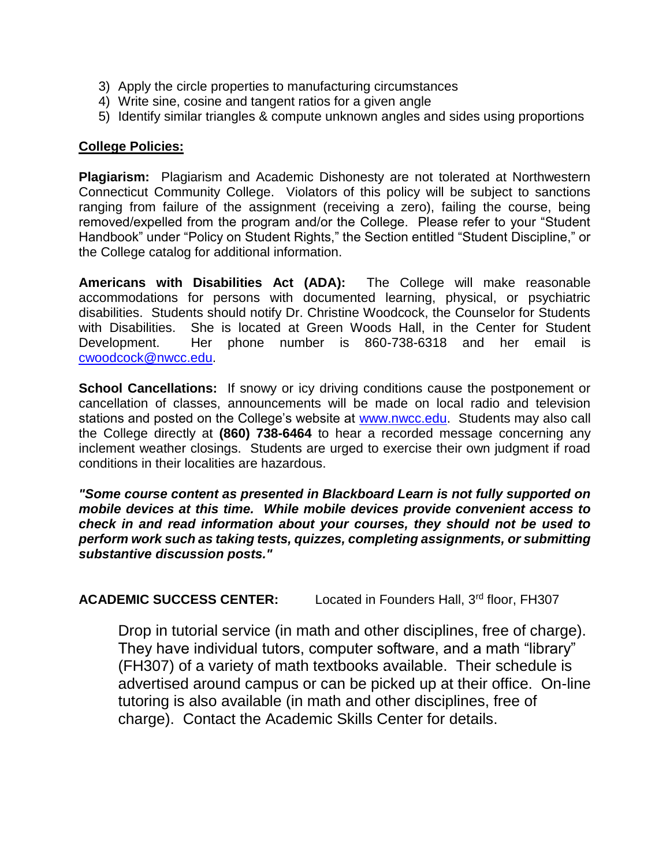- 3) Apply the circle properties to manufacturing circumstances
- 4) Write sine, cosine and tangent ratios for a given angle
- 5) Identify similar triangles & compute unknown angles and sides using proportions

#### **College Policies:**

**Plagiarism:** Plagiarism and Academic Dishonesty are not tolerated at Northwestern Connecticut Community College. Violators of this policy will be subject to sanctions ranging from failure of the assignment (receiving a zero), failing the course, being removed/expelled from the program and/or the College. Please refer to your "Student Handbook" under "Policy on Student Rights," the Section entitled "Student Discipline," or the College catalog for additional information.

**Americans with Disabilities Act (ADA):** The College will make reasonable accommodations for persons with documented learning, physical, or psychiatric disabilities. Students should notify Dr. Christine Woodcock, the Counselor for Students with Disabilities. She is located at Green Woods Hall, in the Center for Student Development. Her phone number is 860-738-6318 and her email is [cwoodcock@nwcc.edu.](mailto:cwoodcock@nwcc.edu)

**School Cancellations:** If snowy or icy driving conditions cause the postponement or cancellation of classes, announcements will be made on local radio and television stations and posted on the College's website at [www.nwcc.edu.](http://www.nwcc.edu/) Students may also call the College directly at **(860) 738-6464** to hear a recorded message concerning any inclement weather closings. Students are urged to exercise their own judgment if road conditions in their localities are hazardous.

*"Some course content as presented in Blackboard Learn is not fully supported on mobile devices at this time. While mobile devices provide convenient access to check in and read information about your courses, they should not be used to perform work such as taking tests, quizzes, completing assignments, or submitting substantive discussion posts."*

**ACADEMIC SUCCESS CENTER:** Located in Founders Hall, 3rd floor, FH307

Drop in tutorial service (in math and other disciplines, free of charge). They have individual tutors, computer software, and a math "library" (FH307) of a variety of math textbooks available. Their schedule is advertised around campus or can be picked up at their office. On-line tutoring is also available (in math and other disciplines, free of charge). Contact the Academic Skills Center for details.